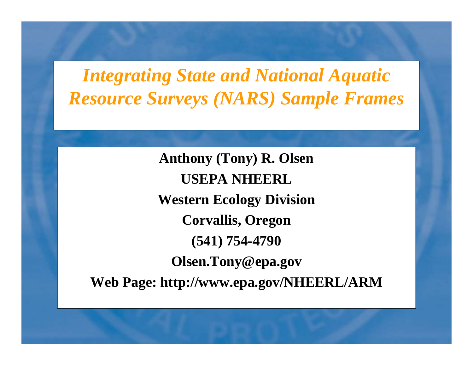*Integrating State and National Aquatic Resource Surveys (NARS) Sample Frames*

**Anthony (Tony) R Olsen R. USEPA NHEERL Western Ecology Division Corvallis, Oregon (541) 754-4790 Olsen.Tony@epa.gov Web Page: http://www.epa.gov/NHEERL/ARM**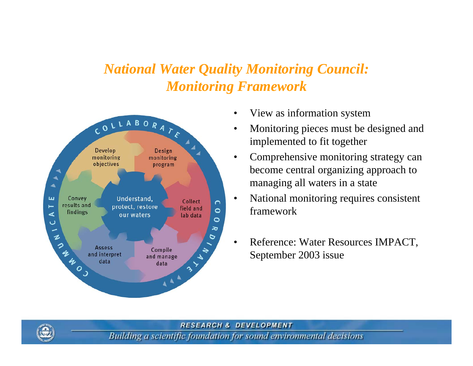#### *National Water Quality Monitoring Council: Monitoring Framework*



- •View as information system
- • Monitoring pieces must be designed and implemented to fit together
- • Comprehensive monitoring strategy can become central organizing approach to managing all waters in a state
- • National monitoring requires consistent framework
- • Reference: Water Resources IMPACT, September 2003 issue

#### **RESEARCH & DEVELOPMENT**

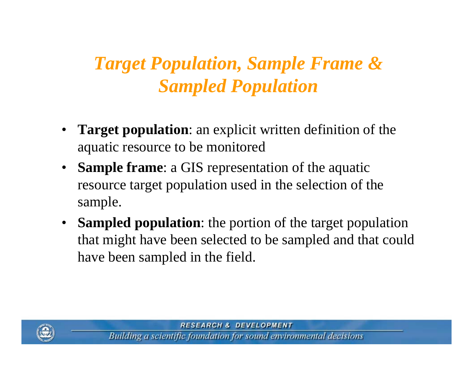# *Target Population, Sample Frame & Sampled Population*

- • **Target population**: an explicit written definition of the aquatic resource to be monitored
- **Sample frame**: a GIS representation of the aquatic resource target population used in the selection of the sample.
- **Sampled population**: the portion of the target population that might have been selected to be sampled and that could have been sampled in the field.



**RESEARCH & DEVELOPMENT**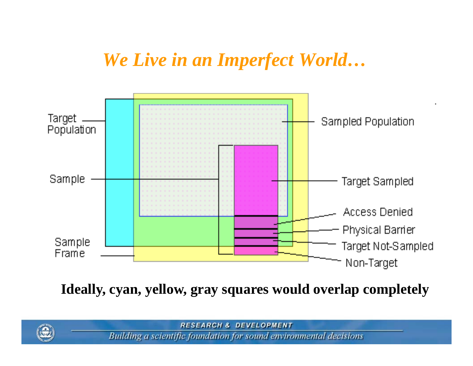## We Live in an Imperfect World...



Ideally, cyan, yellow, gray squares would overlap completely

**RESEARCH & DEVELOPMENT** 

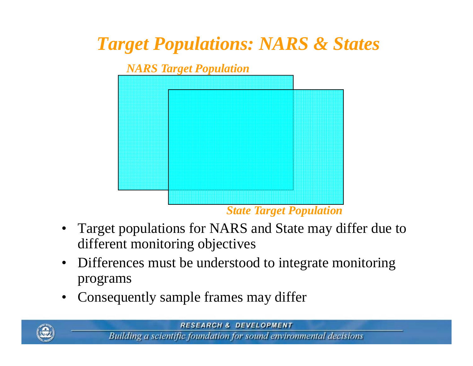## *Target Populations: NARS & States*



- $\bullet$  Target populations for NARS and State may differ due to different monitoring objectives
- $\bullet$  Differences must be understood to integrate monitoring programs
- $\bullet$ Consequently sample frames may differ

**RESEARCH & DEVELOPMENT** 

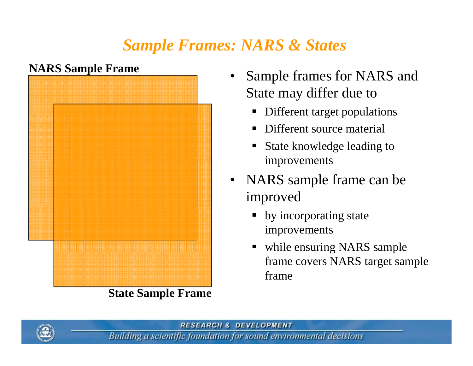### *Sample Frames: NARS & States*



**State Sam ple Frame**

- Sample frames for NARS and State may differ due to
	- **•** Different target populations
	- ٠ Different source material
	- ٠ State knowledge leading to improvements
- NARS sample frame can be improved
	- by incorporating state improvements
	- while ensuring NARS sample frame covers NARS target sample frame

**RESEARCH & DEVELOPMENT** 

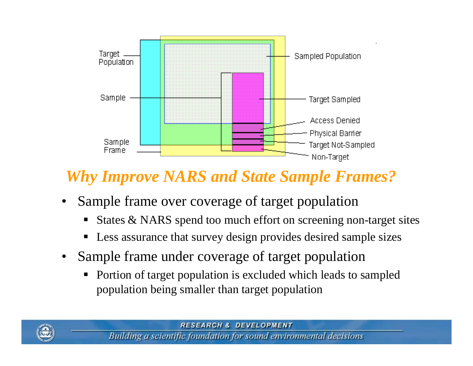

#### *Why Improve NARS and State Sample Frames?*

- •Sample frame over coverage of target population
	- States & NARS spend too much effort on screening non-target sites
	- $\blacksquare$ Less assurance that survey design provides desired sample sizes
- •• Sample frame under coverage of target population
	- $\blacksquare$  Portion of target population is excluded which leads to sampled population being smaller than target population

**RESEARCH & DEVELOPMENT** Building a scientific foundation for sound environmental decisions

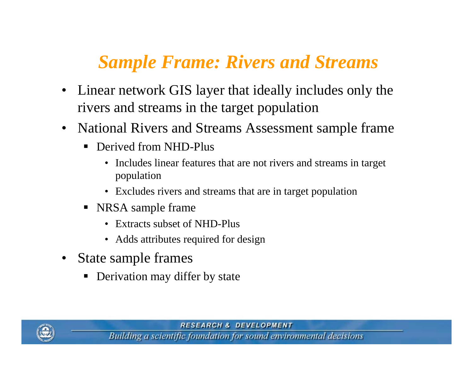## *Sample Frame: Rivers and Streams*

- • Linear network GIS layer that ideally includes only the rivers and streams in the target population
- National Rivers and Streams Assessment sample frame
	- $\blacksquare$  Derived from NHD-Plus
		- $\bullet$ • Includes linear features that are not rivers and streams in target population
		- Excludes rivers and streams that are in target population
	- NRSA sample frame
		- Extracts subset of NHD-Plus
		- Adds attributes required for design
- • State sample frames
	- Derivation may differ by state

**RESEARCH & DEVELOPMENT** 

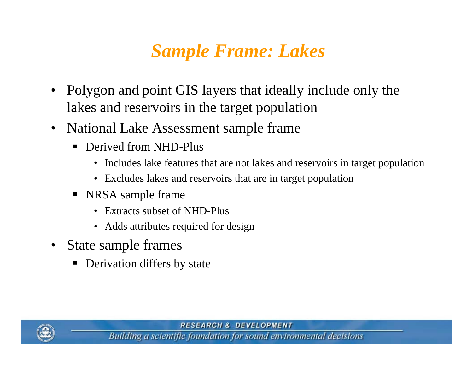# *Sample Frame: Lakes*

- • Polygon and point GIS layers that ideally include only the lakes and reservoirs in the target population
- • National Lake Assessment sample frame
	- $\blacksquare$  Derived from NHD-Plus
		- Includes lake features that are not lakes and reservoirs in target population
		- Excludes lakes and reservoirs that are in target population
	- NRSA sample frame
		- Extracts subset of NHD-Plus
		- Adds attributes required for design
- • State sam ple frames
	- ٠ Derivation differs by state

**RESEARCH & DEVELOPMENT** 

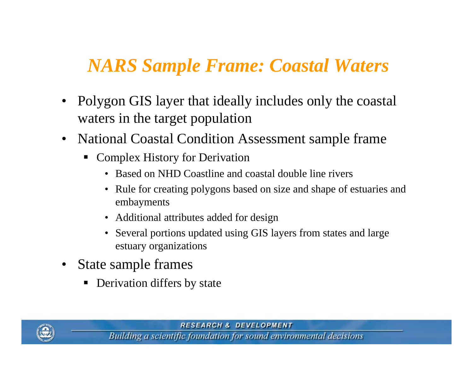## *NARS Sample Frame: Coastal Waters*

- $\bullet$  Polygon GIS layer that ideally includes only the coastal waters in the target population
- $\bullet$  National Coastal Condition Assessment sample frame
	- Complex History for Derivation
		- Based on NHD Coastline and coastal double line rivers
		- Rule for creating polygons based on size and shape of estuaries and emba yments
		- Additional attributes added for design
		- Several portions updated using GIS layers from states and large estuary organizations
- • State sample frames
	- ٠ Derivation differs by state

**RESEARCH & DEVELOPMENT** 

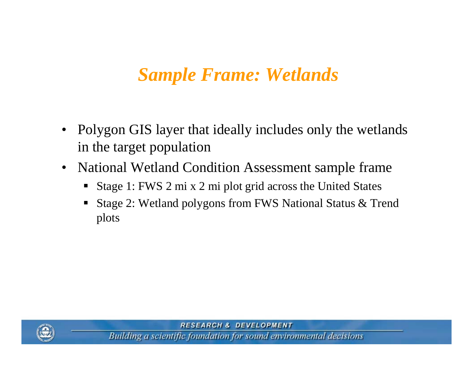## *Sample Frame: Wetlands*

- $\bullet$  Polygon GIS layer that ideally includes only the wetlands in the target population
- $\bullet$ National Wetland Condition Assessment sample frame
	- $\blacksquare$ Stage 1: FWS 2 mi x 2 mi plot grid across the United States
	- Stage 2: Wetland polygons from FWS National Status & Trend plots



**RESEARCH & DEVELOPMENT**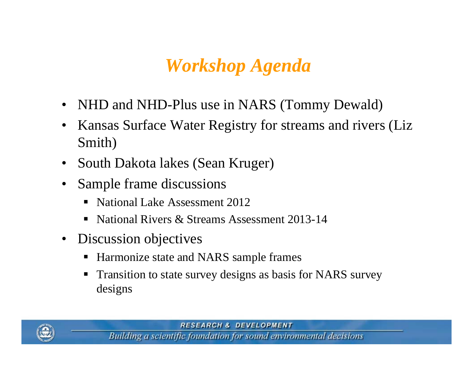## *Workshop Agenda*

- •NHD and NHD-Plus use in NARS (Tommy Dewald)
- $\bullet$  Kansas Surface Water Registry for streams and rivers (Liz Smith)
- •South Dakota lakes (Sean Kruger)
- • Sample frame discussions
	- $\blacksquare$ National Lake Assessment 2012
	- $\blacksquare$ National Rivers & Streams Assessment 2013-14
- $\bullet$  Discussion objectives
	- Harmonize state and NARS sample frames
	- $\blacksquare$  Transition to state survey designs as basis for NARS survey designs

**RESEARCH & DEVELOPMENT**